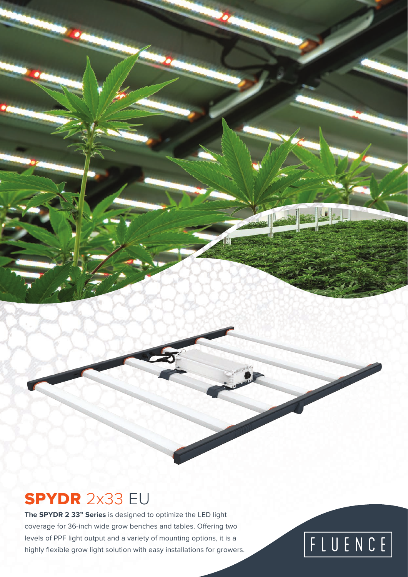### SPYDR 2x33 EU

**The SPYDR 2 33" Series** is designed to optimize the LED light coverage for 36-inch wide grow benches and tables. Offering two levels of PPF light output and a variety of mounting options, it is a highly flexible grow light solution with easy installations for growers.

# FLUENCE